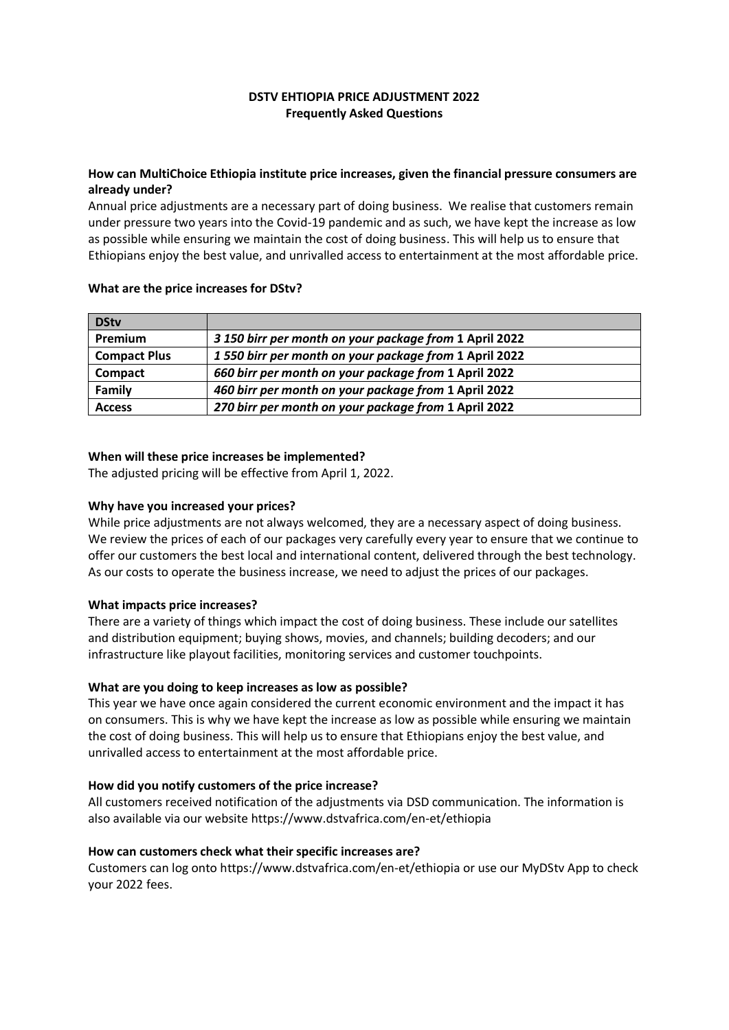## **DSTV EHTIOPIA PRICE ADJUSTMENT 2022 Frequently Asked Questions**

## **How can MultiChoice Ethiopia institute price increases, given the financial pressure consumers are already under?**

Annual price adjustments are a necessary part of doing business. We realise that customers remain under pressure two years into the Covid-19 pandemic and as such, we have kept the increase as low as possible while ensuring we maintain the cost of doing business. This will help us to ensure that Ethiopians enjoy the best value, and unrivalled access to entertainment at the most affordable price.

### **What are the price increases for DStv?**

| <b>DStv</b>         |                                                        |
|---------------------|--------------------------------------------------------|
| Premium             | 3 150 birr per month on your package from 1 April 2022 |
| <b>Compact Plus</b> | 1550 birr per month on your package from 1 April 2022  |
| <b>Compact</b>      | 660 birr per month on your package from 1 April 2022   |
| Family              | 460 birr per month on your package from 1 April 2022   |
| <b>Access</b>       | 270 birr per month on your package from 1 April 2022   |

### **When will these price increases be implemented?**

The adjusted pricing will be effective from April 1, 2022.

### **Why have you increased your prices?**

While price adjustments are not always welcomed, they are a necessary aspect of doing business. We review the prices of each of our packages very carefully every year to ensure that we continue to offer our customers the best local and international content, delivered through the best technology. As our costs to operate the business increase, we need to adjust the prices of our packages.

#### **What impacts price increases?**

There are a variety of things which impact the cost of doing business. These include our satellites and distribution equipment; buying shows, movies, and channels; building decoders; and our infrastructure like playout facilities, monitoring services and customer touchpoints.

### **What are you doing to keep increases as low as possible?**

This year we have once again considered the current economic environment and the impact it has on consumers. This is why we have kept the increase as low as possible while ensuring we maintain the cost of doing business. This will help us to ensure that Ethiopians enjoy the best value, and unrivalled access to entertainment at the most affordable price.

### **How did you notify customers of the price increase?**

All customers received notification of the adjustments via DSD communication. The information is also available via our website https://www.dstvafrica.com/en-et/ethiopia

#### **How can customers check what their specific increases are?**

Customers can log onto https://www.dstvafrica.com/en-et/ethiopia or use our MyDStv App to check your 2022 fees.